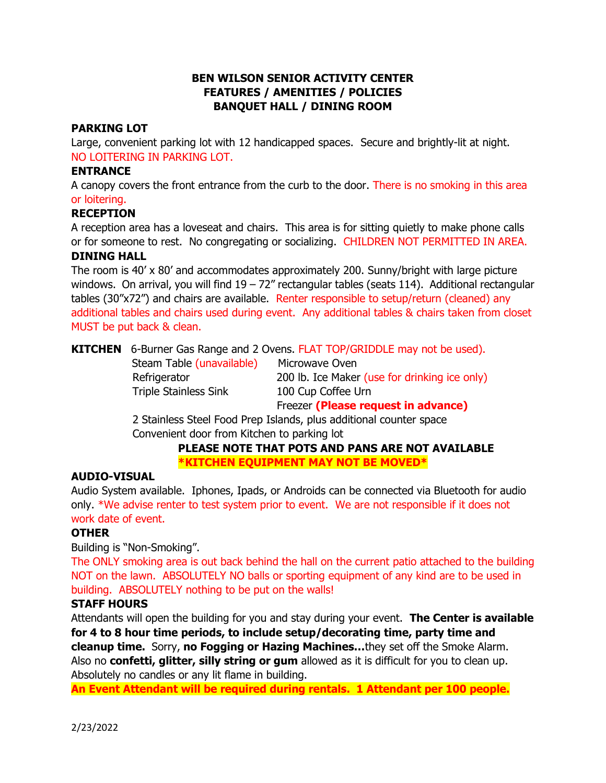# **BEN WILSON SENIOR ACTIVITY CENTER FEATURES / AMENITIES / POLICIES BANQUET HALL / DINING ROOM**

### **PARKING LOT**

Large, convenient parking lot with 12 handicapped spaces. Secure and brightly-lit at night. NO LOITERING IN PARKING LOT.

#### **ENTRANCE**

A canopy covers the front entrance from the curb to the door. There is no smoking in this area or loitering.

#### **RECEPTION**

A reception area has a loveseat and chairs. This area is for sitting quietly to make phone calls or for someone to rest. No congregating or socializing. CHILDREN NOT PERMITTED IN AREA. **DINING HALL**

The room is 40' x 80' and accommodates approximately 200. Sunny/bright with large picture windows. On arrival, you will find  $19 - 72$ " rectangular tables (seats 114). Additional rectangular tables (30"x72") and chairs are available. Renter responsible to setup/return (cleaned) any additional tables and chairs used during event. Any additional tables & chairs taken from closet MUST be put back & clean.

**KITCHEN** 6-Burner Gas Range and 2 Ovens. FLAT TOP/GRIDDLE may not be used).

| Steam Table (unavailable)    |  |  |
|------------------------------|--|--|
| Refrigerator                 |  |  |
| <b>Triple Stainless Sink</b> |  |  |

**Microwave Oven** 200 lb. Ice Maker (use for drinking ice only) 100 Cup Coffee Urn

Freezer **(Please request in advance)**

 2 Stainless Steel Food Prep Islands, plus additional counter space Convenient door from Kitchen to parking lot

## **PLEASE NOTE THAT POTS AND PANS ARE NOT AVAILABLE \*KITCHEN EQUIPMENT MAY NOT BE MOVED\***

#### **AUDIO-VISUAL**

Audio System available. Iphones, Ipads, or Androids can be connected via Bluetooth for audio only. \*We advise renter to test system prior to event. We are not responsible if it does not work date of event.

# **OTHER**

Building is "Non-Smoking".

The ONLY smoking area is out back behind the hall on the current patio attached to the building NOT on the lawn. ABSOLUTELY NO balls or sporting equipment of any kind are to be used in building. ABSOLUTELY nothing to be put on the walls!

# **STAFF HOURS**

Attendants will open the building for you and stay during your event. **The Center is available for 4 to 8 hour time periods, to include setup/decorating time, party time and cleanup time.** Sorry, **no Fogging or Hazing Machines…**they set off the Smoke Alarm. Also no **confetti, glitter, silly string or gum** allowed as it is difficult for you to clean up. Absolutely no candles or any lit flame in building.

**An Event Attendant will be required during rentals. 1 Attendant per 100 people.**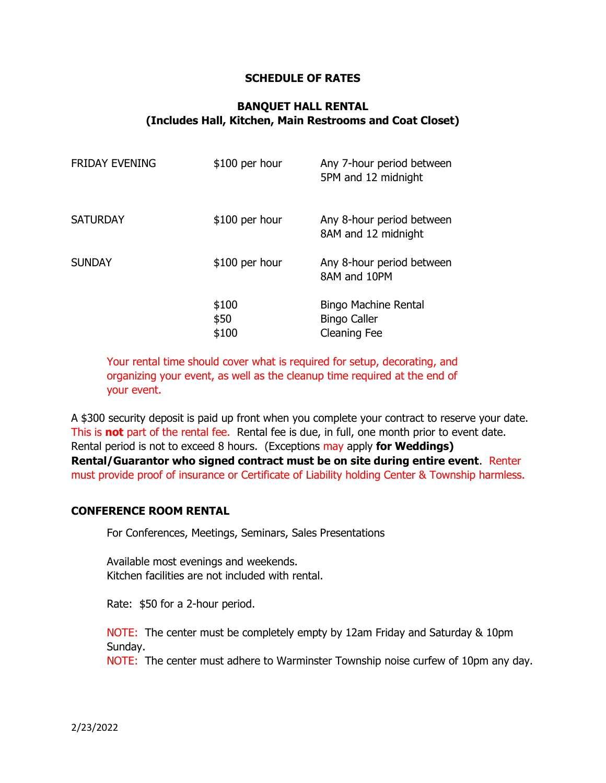### **SCHEDULE OF RATES**

## **BANQUET HALL RENTAL (Includes Hall, Kitchen, Main Restrooms and Coat Closet)**

| <b>FRIDAY EVENING</b> | $$100$ per hour        | Any 7-hour period between<br>5PM and 12 midnight                          |
|-----------------------|------------------------|---------------------------------------------------------------------------|
| <b>SATURDAY</b>       | $$100$ per hour        | Any 8-hour period between<br>8AM and 12 midnight                          |
| <b>SUNDAY</b>         | \$100 per hour         | Any 8-hour period between<br>8AM and 10PM                                 |
|                       | \$100<br>\$50<br>\$100 | <b>Bingo Machine Rental</b><br><b>Bingo Caller</b><br><b>Cleaning Fee</b> |

Your rental time should cover what is required for setup, decorating, and organizing your event, as well as the cleanup time required at the end of your event.

A \$300 security deposit is paid up front when you complete your contract to reserve your date. This is **not** part of the rental fee. Rental fee is due, in full, one month prior to event date. Rental period is not to exceed 8 hours. (Exceptions may apply **for Weddings) Rental/Guarantor who signed contract must be on site during entire event**. Renter must provide proof of insurance or Certificate of Liability holding Center & Township harmless.

#### **CONFERENCE ROOM RENTAL**

For Conferences, Meetings, Seminars, Sales Presentations

Available most evenings and weekends. Kitchen facilities are not included with rental.

Rate: \$50 for a 2-hour period.

NOTE: The center must be completely empty by 12am Friday and Saturday & 10pm Sunday.

NOTE: The center must adhere to Warminster Township noise curfew of 10pm any day.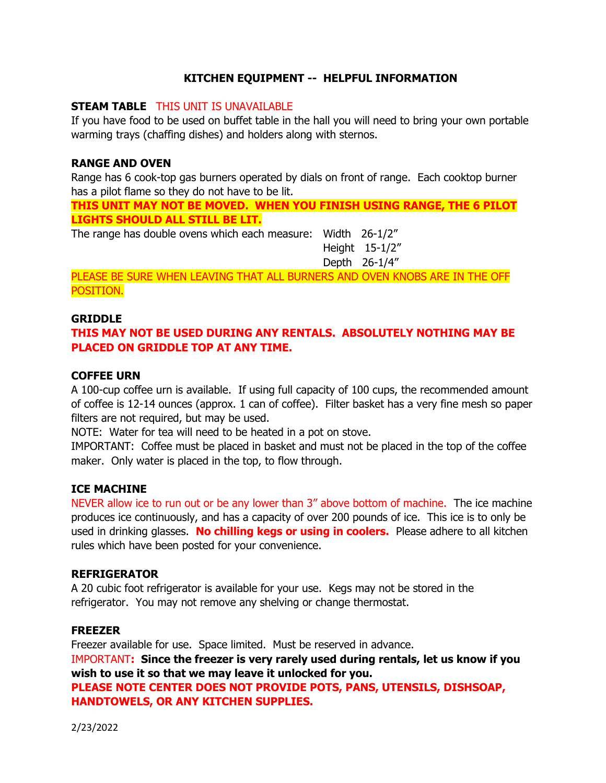# **KITCHEN EQUIPMENT -- HELPFUL INFORMATION**

#### **STEAM TABLE** THIS UNIT IS UNAVAILABLE

If you have food to be used on buffet table in the hall you will need to bring your own portable warming trays (chaffing dishes) and holders along with sternos.

### **RANGE AND OVEN**

Range has 6 cook-top gas burners operated by dials on front of range. Each cooktop burner has a pilot flame so they do not have to be lit.

**THIS UNIT MAY NOT BE MOVED. WHEN YOU FINISH USING RANGE, THE 6 PILOT LIGHTS SHOULD ALL STILL BE LIT.**

The range has double ovens which each measure: Width 26-1/2"

 Height 15-1/2" Depth 26-1/4"

PLEASE BE SURE WHEN LEAVING THAT ALL BURNERS AND OVEN KNOBS ARE IN THE OFF POSITION.

#### **GRIDDLE**

# **THIS MAY NOT BE USED DURING ANY RENTALS. ABSOLUTELY NOTHING MAY BE PLACED ON GRIDDLE TOP AT ANY TIME.**

#### **COFFEE URN**

A 100-cup coffee urn is available. If using full capacity of 100 cups, the recommended amount of coffee is 12-14 ounces (approx. 1 can of coffee). Filter basket has a very fine mesh so paper filters are not required, but may be used.

NOTE: Water for tea will need to be heated in a pot on stove.

IMPORTANT: Coffee must be placed in basket and must not be placed in the top of the coffee maker. Only water is placed in the top, to flow through.

### **ICE MACHINE**

NEVER allow ice to run out or be any lower than 3" above bottom of machine. The ice machine produces ice continuously, and has a capacity of over 200 pounds of ice. This ice is to only be used in drinking glasses. **No chilling kegs or using in coolers.** Please adhere to all kitchen rules which have been posted for your convenience.

#### **REFRIGERATOR**

A 20 cubic foot refrigerator is available for your use. Kegs may not be stored in the refrigerator. You may not remove any shelving or change thermostat.

#### **FREEZER**

Freezer available for use. Space limited. Must be reserved in advance. IMPORTANT**: Since the freezer is very rarely used during rentals, let us know if you wish to use it so that we may leave it unlocked for you. PLEASE NOTE CENTER DOES NOT PROVIDE POTS, PANS, UTENSILS, DISHSOAP, HANDTOWELS, OR ANY KITCHEN SUPPLIES.**